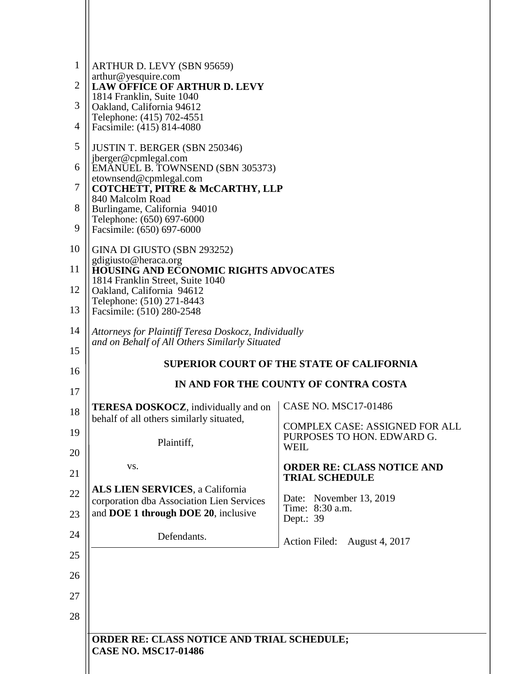| $\mathbf{1}$ | ARTHUR D. LEVY (SBN 95659)                                                              |                                                                     |  |
|--------------|-----------------------------------------------------------------------------------------|---------------------------------------------------------------------|--|
| 2            | arthur@yesquire.com<br><b>LAW OFFICE OF ARTHUR D. LEVY</b>                              |                                                                     |  |
| 3            | 1814 Franklin, Suite 1040<br>Oakland, California 94612                                  |                                                                     |  |
| 4            | Telephone: (415) 702-4551<br>Facsimile: (415) 814-4080                                  |                                                                     |  |
| 5            | <b>JUSTIN T. BERGER (SBN 250346)</b>                                                    |                                                                     |  |
| 6            | jberger@cpmlegal.com<br>EMANUEL B. TOWNSEND (SBN 305373)                                |                                                                     |  |
| 7            | etownsend@cpmlegal.com<br>COTCHETT, PITRE & McCARTHY, LLP                               |                                                                     |  |
| 8            | 840 Malcolm Road<br>Burlingame, California 94010                                        |                                                                     |  |
| 9            | Telephone: (650) 697-6000<br>Facsimile: (650) 697-6000                                  |                                                                     |  |
| 10           | GINA DI GIUSTO (SBN 293252)<br>gdigiusto@heraca.org                                     |                                                                     |  |
| 11           | <b>HOUSING AND ECONOMIC RIGHTS ADVOCATES</b>                                            |                                                                     |  |
| 12           | 1814 Franklin Street, Suite 1040<br>Oakland, California 94612                           |                                                                     |  |
| 13           | Telephone: (510) 271-8443<br>Facsimile: (510) 280-2548                                  |                                                                     |  |
| 14           | Attorneys for Plaintiff Teresa Doskocz, Individually                                    |                                                                     |  |
| 15           | and on Behalf of All Others Similarly Situated                                          |                                                                     |  |
| 16           | <b>SUPERIOR COURT OF THE STATE OF CALIFORNIA</b>                                        |                                                                     |  |
| 17           | IN AND FOR THE COUNTY OF CONTRA COSTA                                                   |                                                                     |  |
| 18           | <b>TERESA DOSKOCZ</b> , individually and on<br>behalf of all others similarly situated, | <b>CASE NO. MSC17-01486</b>                                         |  |
| 19           |                                                                                         | <b>COMPLEX CASE: ASSIGNED FOR ALL</b><br>PURPOSES TO HON. EDWARD G. |  |
| 20           | Plaintiff,                                                                              | <b>WEIL</b>                                                         |  |
| 21           | VS.                                                                                     | <b>ORDER RE: CLASS NOTICE AND</b><br><b>TRIAL SCHEDULE</b>          |  |
| 22           | <b>ALS LIEN SERVICES, a California</b>                                                  | Date: November 13, 2019                                             |  |
| 23           | corporation dba Association Lien Services<br>and DOE 1 through DOE 20, inclusive        | Time: 8:30 a.m.<br>Dept.: 39                                        |  |
| 24           | Defendants.                                                                             | Action Filed:<br>August 4, 2017                                     |  |
| 25           |                                                                                         |                                                                     |  |
| 26           |                                                                                         |                                                                     |  |
| 27           |                                                                                         |                                                                     |  |
| 28           |                                                                                         |                                                                     |  |
|              | ORDER RE: CLASS NOTICE AND TRIAL SCHEDULE;                                              |                                                                     |  |
|              | <b>CASE NO. MSC17-01486</b>                                                             |                                                                     |  |
|              |                                                                                         |                                                                     |  |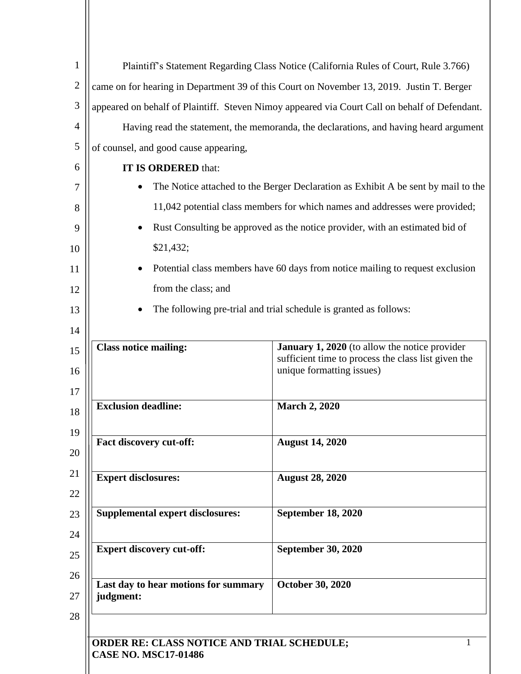| $\mathbf{1}$   | Plaintiff's Statement Regarding Class Notice (California Rules of Court, Rule 3.766)          |                                                                                                                                          |
|----------------|-----------------------------------------------------------------------------------------------|------------------------------------------------------------------------------------------------------------------------------------------|
| $\overline{2}$ | came on for hearing in Department 39 of this Court on November 13, 2019. Justin T. Berger     |                                                                                                                                          |
| 3              | appeared on behalf of Plaintiff. Steven Nimoy appeared via Court Call on behalf of Defendant. |                                                                                                                                          |
| $\overline{4}$ | Having read the statement, the memoranda, the declarations, and having heard argument         |                                                                                                                                          |
| 5              | of counsel, and good cause appearing,                                                         |                                                                                                                                          |
| 6              | IT IS ORDERED that:                                                                           |                                                                                                                                          |
| 7              | The Notice attached to the Berger Declaration as Exhibit A be sent by mail to the             |                                                                                                                                          |
| 8              | 11,042 potential class members for which names and addresses were provided;                   |                                                                                                                                          |
| 9              | Rust Consulting be approved as the notice provider, with an estimated bid of<br>$\bullet$     |                                                                                                                                          |
| 10             | \$21,432;                                                                                     |                                                                                                                                          |
| 11             | Potential class members have 60 days from notice mailing to request exclusion<br>$\bullet$    |                                                                                                                                          |
| 12             | from the class; and                                                                           |                                                                                                                                          |
| 13             | The following pre-trial and trial schedule is granted as follows:                             |                                                                                                                                          |
| 14             |                                                                                               |                                                                                                                                          |
| 15<br>16<br>17 | <b>Class notice mailing:</b>                                                                  | <b>January 1, 2020</b> (to allow the notice provider<br>sufficient time to process the class list given the<br>unique formatting issues) |
| 18             | <b>Exclusion deadline:</b>                                                                    | <b>March 2, 2020</b>                                                                                                                     |
| 19<br>20       | Fact discovery cut-off:                                                                       | <b>August 14, 2020</b>                                                                                                                   |
| 21<br>22       | <b>Expert disclosures:</b>                                                                    | <b>August 28, 2020</b>                                                                                                                   |
| 23<br>24       | <b>Supplemental expert disclosures:</b>                                                       | <b>September 18, 2020</b>                                                                                                                |
| 25             | <b>Expert discovery cut-off:</b>                                                              | <b>September 30, 2020</b>                                                                                                                |
| 26<br>27       | Last day to hear motions for summary<br>judgment:                                             | <b>October 30, 2020</b>                                                                                                                  |
| 28             | ORDER RE: CLASS NOTICE AND TRIAL SCHEDULE;<br><b>CASE NO. MSC17-01486</b>                     |                                                                                                                                          |